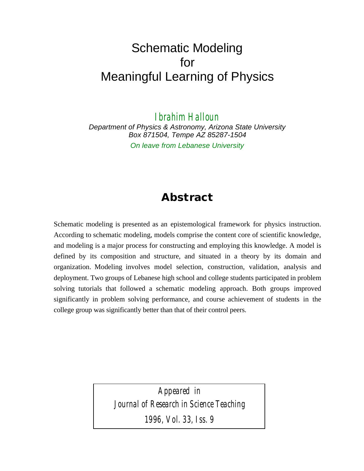# Schematic Modeling for Meaningful Learning of Physics

*Ibrahim Halloun* Department of Physics & Astronomy, Arizona State University Box 871504, Tempe AZ 85287-1504 On leave from Lebanese University

# **Abstract**

Schematic modeling is presented as an epistemological framework for physics instruction. According to schematic modeling, models comprise the content core of scientific knowledge, and modeling is a major process for constructing and employing this knowledge. A model is defined by its composition and structure, and situated in a theory by its domain and organization. Modeling involves model selection, construction, validation, analysis and deployment. Two groups of Lebanese high school and college students participated in problem solving tutorials that followed a schematic modeling approach. Both groups improved significantly in problem solving performance, and course achievement of students in the college group was significantly better than that of their control peers.

> *Appeared in Journal of Research in Science Teaching 1996, Vol. 33, Iss. 9*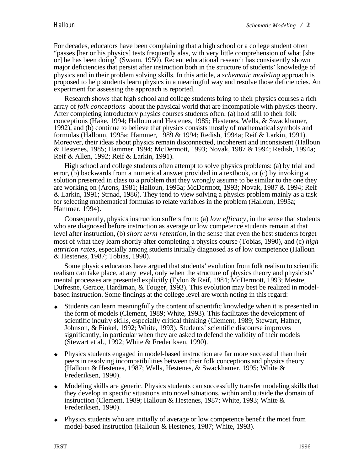For decades, educators have been complaining that a high school or a college student often "passes [her or his physics] tests frequently alas, with very little comprehension of what [she or] he has been doing" (Swann, 1950). Recent educational research has consistently shown major deficiencies that persist after instruction both in the structure of students' knowledge of physics and in their problem solving skills. In this article, a *schematic modeling* approach is proposed to help students learn physics in a meaningful way and resolve those deficiencies. An experiment for assessing the approach is reported.

Research shows that high school and college students bring to their physics courses a rich array of *folk conceptions* about the physical world that are incompatible with physics theory. After completing introductory physics courses students often: (a) hold still to their folk conceptions (Hake, 1994; Halloun and Hestenes, 1985; Hestenes, Wells, & Swackhamer, 1992), and (b) continue to believe that physics consists mostly of mathematical symbols and formulas (Halloun, 1995a; Hammer, 1989 & 1994; Redish, 1994a; Reif & Larkin, 1991). Moreover, their ideas about physics remain disconnected, incoherent and inconsistent (Halloun & Hestenes, 1985; Hammer, 1994; McDermott, 1993; Novak, 1987 & 1994; Redish, 1994a; Reif & Allen, 1992; Reif & Larkin, 1991).

High school and college students often attempt to solve physics problems: (a) by trial and error, (b) backwards from a numerical answer provided in a textbook, or (c) by invoking a solution presented in class to a problem that they wrongly assume to be similar to the one they are working on (Arons, 1981; Halloun, 1995a; McDermott, 1993; Novak, 1987 & 1994; Reif & Larkin, 1991; Strnad, 1986). They tend to view solving a physics problem mainly as a task for selecting mathematical formulas to relate variables in the problem (Halloun, 1995a; Hammer, 1994).

Consequently, physics instruction suffers from: (a) *low efficacy*, in the sense that students who are diagnosed before instruction as average or low competence students remain at that level after instruction, (b) *short term retention*, in the sense that even the best students forget most of what they learn shortly after completing a physics course (Tobias, 1990), and (c) *high attrition rates*, especially among students initially diagnosed as of low competence (Halloun & Hestenes, 1987; Tobias, 1990).

Some physics educators have argued that students' evolution from folk realism to scientific realism can take place, at any level, only when the structure of physics theory and physicists' mental processes are presented explicitly (Eylon & Reif, 1984; McDermott, 1993; Mestre, Dufresne, Gerace, Hardiman, & Touger, 1993). This evolution may best be realized in modelbased instruction. Some findings at the college level are worth noting in this regard:

- Students can learn meaningfully the content of scientific knowledge when it is presented in the form of models (Clement, 1989; White, 1993). This facilitates the development of scientific inquiry skills, especially critical thinking (Clement, 1989; Stewart, Hafner, Johnson, & Finkel, 1992; White, 1993). Students' scientific discourse improves significantly, in particular when they are asked to defend the validity of their models (Stewart et al., 1992; White & Frederiksen, 1990).
- Physics students engaged in model-based instruction are far more successful than their peers in resolving incompatibilities between their folk conceptions and physics theory (Halloun & Hestenes, 1987; Wells, Hestenes, & Swackhamer, 1995; White & Frederiksen, 1990).
- Modeling skills are generic. Physics students can successfully transfer modeling skills that they develop in specific situations into novel situations, within and outside the domain of instruction (Clement, 1989; Halloun & Hestenes, 1987; White, 1993; White & Frederiksen, 1990).
- Physics students who are initially of average or low competence benefit the most from model-based instruction (Halloun & Hestenes, 1987; White, 1993).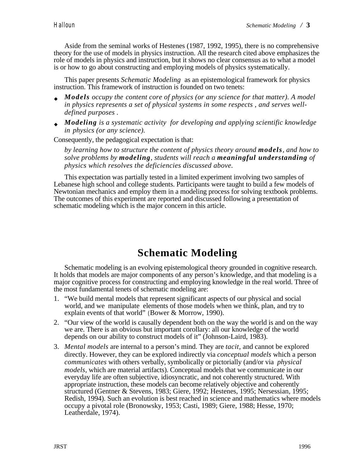Aside from the seminal works of Hestenes (1987, 1992, 1995), there is no comprehensive theory for the use of models in physics instruction. All the research cited above emphasizes the role of models in physics and instruction, but it shows no clear consensus as to what a model is or how to go about constructing and employing models of physics systematically.

This paper presents *Schematic Modeling* as an epistemological framework for physics instruction. This framework of instruction is founded on two tenets:

- *Models occupy the content core of physics (or any science for that matter). A model in physics represents a set of physical systems in some respects , and serves welldefined purposes .*
- *Modeling is a systematic activity for developing and applying scientific knowledge in physics (or any science).*

Consequently, the pedagogical expectation is that:

*by learning how to structure the content of physics theory around models, and how to solve problems by modeling, students will reach a meaningful understanding of physics which resolves the deficiencies discussed above.*

This expectation was partially tested in a limited experiment involving two samples of Lebanese high school and college students. Participants were taught to build a few models of Newtonian mechanics and employ them in a modeling process for solving textbook problems. The outcomes of this experiment are reported and discussed following a presentation of schematic modeling which is the major concern in this article.

# **Schematic Modeling**

Schematic modeling is an evolving epistemological theory grounded in cognitive research. It holds that models are major components of any person's knowledge, and that modeling is a major cognitive process for constructing and employing knowledge in the real world. Three of the most fundamental tenets of schematic modeling are:

- 1. "We build mental models that represent significant aspects of our physical and social world, and we manipulate elements of those models when we think, plan, and try to explain events of that world" (Bower & Morrow, 1990).
- 2. "Our view of the world is causally dependent both on the way the world is and on the way we are. There is an obvious but important corollary: all our knowledge of the world depends on our ability to construct models of it" (Johnson-Laird, 1983).
- 3. *Mental models* are internal to a person's mind. They are *tacit,* and cannot be explored directly. However, they can be explored indirectly via *conceptual models* which a person *communicates* with others verbally, symbolically or pictorially (and/or via *physical models,* which are material artifacts). Conceptual models that we communicate in our everyday life are often subjective, idiosyncratic, and not coherently structured. With appropriate instruction, these models can become relatively objective and coherently structured (Gentner & Stevens, 1983; Giere, 1992; Hestenes, 1995; Nersessian, 1995; Redish, 1994). Such an evolution is best reached in science and mathematics where models occupy a pivotal role (Bronowsky, 1953; Casti, 1989; Giere, 1988; Hesse, 1970; Leatherdale, 1974).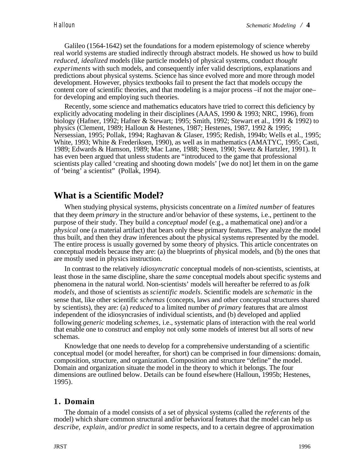Galileo (1564-1642) set the foundations for a modern epistemology of science whereby real world systems are studied indirectly through abstract models. He showed us how to build *reduced, idealized* models (like particle models) of physical systems, conduct *thought experiments* with such models, and consequently infer valid descriptions, explanations and predictions about physical systems. Science has since evolved more and more through model development. However, physics textbooks fail to present the fact that models occupy the content core of scientific theories, and that modeling is a major process –if not the major one– for developing and employing such theories.

Recently, some science and mathematics educators have tried to correct this deficiency by explicitly advocating modeling in their disciplines (AAAS, 1990 & 1993; NRC, 1996), from biology (Hafner, 1992; Hafner & Stewart; 1995; Smith, 1992; Stewart et al., 1991 & 1992) to physics (Clement, 1989; Halloun & Hestenes, 1987; Hestenes, 1987, 1992 & 1995; Nersessian, 1995; Pollak, 1994; Raghavan & Glaser, 1995; Redish, 1994b; Wells et al., 1995; White, 1993; White & Frederiksen, 1990), as well as in mathematics (AMATYC, 1995; Casti, 1989; Edwards & Hamson, 1989; Mac Lane, 1988; Steen, 1990; Swetz & Hartzler, 1991). It has even been argued that unless students are "introduced to the game that professional scientists play called 'creating and shooting down models' [we do not] let them in on the game of 'being' a scientist" (Pollak, 1994).

## **What is a Scientific Model?**

When studying physical systems, physicists concentrate on a *limited number* of features that they deem *primary* in the structure and/or behavior of these systems, i.e., pertinent to the purpose of their study. They build a *conceptual model* (e.g., a mathematical one) and/or a *physical* one (a material artifact) that bears only these primary features. They analyze the model thus built, and then they draw inferences about the physical systems represented by the model. The entire process is usually governed by some theory of physics. This article concentrates on conceptual models because they are: (a) the blueprints of physical models, and (b) the ones that are mostly used in physics instruction.

In contrast to the relatively *idiosyncratic* conceptual models of non-scientists, scientists, at least those in the same discipline, share the *same* conceptual models about specific systems and phenomena in the natural world. Non-scientists' models will hereafter be referred to as *folk models*, and those of scientists as *scientific models*. Scientific models are *schematic* in the sense that, like other scientific *schemas* (concepts, laws and other conceptual structures shared by scientists), they are: (a) *reduced* to a limited number of *primary* features that are almost independent of the idiosyncrasies of individual scientists, and (b) developed and applied following *generic* modeling *schemes,* i.e., systematic plans of interaction with the real world that enable one to construct and employ not only some models of interest but all sorts of new schemas.

Knowledge that one needs to develop for a comprehensive understanding of a scientific conceptual model (or model hereafter, for short) can be comprised in four dimensions: domain, composition, structure, and organization. Composition and structure "define" the model. Domain and organization situate the model in the theory to which it belongs. The four dimensions are outlined below. Details can be found elsewhere (Halloun, 1995b; Hestenes, 1995).

## **1. Domain**

The domain of a model consists of a set of physical systems (called the *referents* of the model) which share common structural and/or behavioral features that the model can help us *describe*, *explain*, and/or *predict* in some respects, and to a certain degree of approximation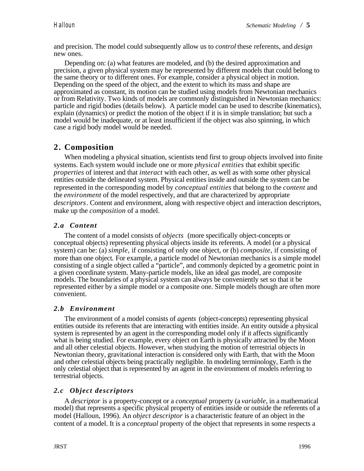and precision. The model could subsequently allow us to *control* these referents, and *design* new ones.

Depending on: (a) what features are modeled, and (b) the desired approximation and precision, a given physical system may be represented by different models that could belong to the same theory or to different ones. For example, consider a physical object in motion. Depending on the speed of the object, and the extent to which its mass and shape are approximated as constant, its motion can be studied using models from Newtonian mechanics or from Relativity. Two kinds of models are commonly distinguished in Newtonian mechanics: particle and rigid bodies (details below). A particle model can be used to describe (kinematics), explain (dynamics) or predict the motion of the object if it is in simple translation; but such a model would be inadequate, or at least insufficient if the object was also spinning, in which case a rigid body model would be needed.

## **2. Composition**

When modeling a physical situation, scientists tend first to group objects involved into finite systems. Each system would include one or more *physical entities* that exhibit specific *properties* of interest and that *interact* with each other, as well as with some other physical entities outside the delineated system. Physical entities inside and outside the system can be represented in the corresponding model by *conceptual entities* that belong to the *content* and the *environment* of the model respectively, and that are characterized by appropriate *descriptors*. Content and environment, along with respective object and interaction descriptors, make up the *composition* of a model.

#### *2.a Content*

The content of a model consists of *objects* (more specifically object-concepts or conceptual objects) representing physical objects inside its referents. A model (or a physical system) can be: (a) *simple,* if consisting of only one object, or (b) *composite,* if consisting of more than one object*.* For example, a particle model of Newtonian mechanics is a simple model consisting of a single object called a "particle", and commonly depicted by a geometric point in a given coordinate system. Many-particle models, like an ideal gas model, are composite models. The boundaries of a physical system can always be conveniently set so that it be represented either by a simple model or a composite one. Simple models though are often more convenient.

#### *2.b Environment*

The environment of a model consists of *agents* (object-concepts) representing physical entities outside its referents that are interacting with entities inside. An entity outside a physical system is represented by an agent in the corresponding model only if it affects significantly what is being studied. For example, every object on Earth is physically attracted by the Moon and all other celestial objects. However, when studying the motion of terrestrial objects in Newtonian theory, gravitational interaction is considered only with Earth, that with the Moon and other celestial objects being practically negligible. In modeling terminology, Earth is the only celestial object that is represented by an agent in the environment of models referring to terrestrial objects.

#### *2.c Object descriptors*

A *descriptor* is a property-concept or a *conceptual* property (a *variable*, in a mathematical model) that represents a specific physical property of entities inside or outside the referents of a model (Halloun, 1996). An *object descriptor* is a characteristic feature of an object in the content of a model. It is a *conceptual* property of the object that represents in some respects a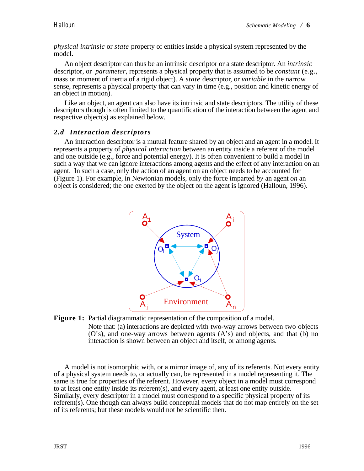*physical intrinsic* or *state* property of entities inside a physical system represented by the model.

An object descriptor can thus be an intrinsic descriptor or a state descriptor. An *intrinsic* descriptor, or *parameter,* represents a physical property that is assumed to be *constant* (e.g., mass or moment of inertia of a rigid object). A *state* descriptor*,* or *variable* in the narrow sense, represents a physical property that can vary in time (e.g., position and kinetic energy of an object in motion).

Like an object, an agent can also have its intrinsic and state descriptors. The utility of these descriptors though is often limited to the quantification of the interaction between the agent and respective object(s) as explained below.

#### *2.d Interaction descriptors*

An interaction descriptor is a mutual feature shared by an object and an agent in a model. It represents a property of *physical interaction* between an entity inside a referent of the model and one outside (e.g., force and potential energy). It is often convenient to build a model in such a way that we can ignore interactions among agents and the effect of any interaction on an agent. In such a case, only the action of an agent on an object needs to be accounted for (Figure 1). For example, in Newtonian models, only the force imparted *by* an agent *on* an object is considered; the one exerted by the object on the agent is ignored (Halloun, 1996).



#### Figure 1: Partial diagrammatic representation of the composition of a model. Note that: (a) interactions are depicted with two-way arrows between two objects  $(O's)$ , and one-way arrows between agents  $(A's)$  and objects, and that  $(b)$  no interaction is shown between an object and itself, or among agents.

A model is not isomorphic with, or a mirror image of, any of its referents. Not every entity of a physical system needs to, or actually can, be represented in a model representing it. The same is true for properties of the referent. However, every object in a model must correspond to at least one entity inside its referent(s), and every agent, at least one entity outside. Similarly, every descriptor in a model must correspond to a specific physical property of its referent(s). One though can always build conceptual models that do not map entirely on the set of its referents; but these models would not be scientific then.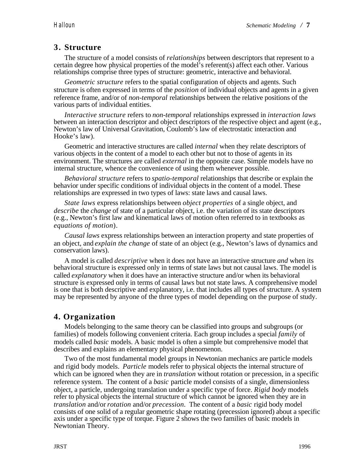## **3. Structure**

The structure of a model consists of *relationships* between descriptors that represent to a certain degree how physical properties of the model's referent(s) affect each other. Various relationships comprise three types of structure: geometric, interactive and behavioral.

*Geometric structure* refers to the spatial configuration of objects and agents. Such structure is often expressed in terms of the *position* of individual objects and agents in a given reference frame, and/or of *non-temporal* relationships between the relative positions of the various parts of individual entities.

*Interactive structure* refers to *non-temporal* relationships expressed in *interaction laws* between an interaction descriptor and object descriptors of the respective object and agent (e.g., Newton's law of Universal Gravitation, Coulomb's law of electrostatic interaction and Hooke's law).

Geometric and interactive structures are called *internal* when they relate descriptors of various objects in the content of a model to each other but not to those of agents in its environment. The structures are called *external* in the opposite case. Simple models have no internal structure, whence the convenience of using them whenever possible.

*Behavioral structure* refers to *spatio-temporal* relationships that describe or explain the behavior under specific conditions of individual objects in the content of a model. These relationships are expressed in two types of laws: state laws and causal laws.

*State laws* express relationships between *object properties* of a single object, and *describe* the *change* of state of a particular object, i.e. the variation of its state descriptors (e.g., Newton's first law and kinematical laws of motion often referred to in textbooks as *equations of motion*).

*Causal laws* express relationships between an interaction property and state properties of an object, and *explain the change* of state of an object (e.g., Newton's laws of dynamics and conservation laws).

A model is called *descriptive* when it does not have an interactive structure *and* when its behavioral structure is expressed only in terms of state laws but not causal laws. The model is called *explanatory* when it does have an interactive structure and/or when its behavioral structure is expressed only in terms of causal laws but not state laws. A comprehensive model is one that is both descriptive and explanatory, i.e. that includes all types of structure. A system may be represented by anyone of the three types of model depending on the purpose of study.

## **4. Organization**

Models belonging to the same theory can be classified into groups and subgroups (or families) of models following convenient criteria. Each group includes a special *family* of models called *basic* models. A basic model is often a simple but comprehensive model that describes and explains an elementary physical phenomenon.

Two of the most fundamental model groups in Newtonian mechanics are particle models and rigid body models. *Particle* models refer to physical objects the internal structure of which can be ignored when they are in *translation* without rotation or precession, in a specific reference system. The content of a *basic* particle model consists of a single, dimensionless object, a particle, undergoing translation under a specific type of force. *Rigid body* models refer to physical objects the internal structure of which cannot be ignored when they are in *translation* and/or *rotation* and/or *precession*. The content of a *basic* rigid body model consists of one solid of a regular geometric shape rotating (precession ignored) about a specific axis under a specific type of torque. Figure 2 shows the two families of basic models in Newtonian Theory.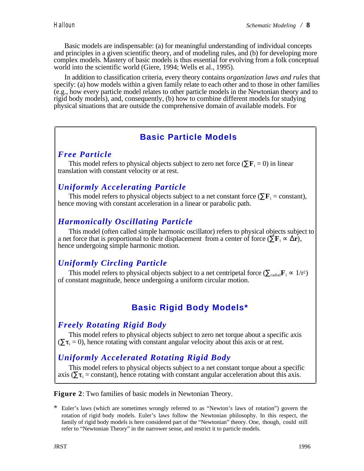Basic models are indispensable: (a) for meaningful understanding of individual concepts and principles in a given scientific theory, and of modeling rules, and (b) for developing more complex models. Mastery of basic models is thus essential for evolving from a folk conceptual world into the scientific world (Giere, 1994; Wells et al., 1995).

In addition to classification criteria, every theory contains *organization laws and rules* that specify: (a) how models within a given family relate to each other and to those in other families (e.g., how every particle model relates to other particle models in the Newtonian theory and to rigid body models), and, consequently, (b) how to combine different models for studying physical situations that are outside the comprehensive domain of available models. For

# **Basic Particle Models**

## *Free Particle*

This model refers to physical objects subject to zero net force  $(F_i = 0)$  in linear translation with constant velocity or at rest.

## *Uniformly Accelerating Particle*

This model refers to physical objects subject to a net constant force  $(\mathbf{F}_i = \text{constant})$ , hence moving with constant acceleration in a linear or parabolic path.

# *Harmonically Oscillating Particle*

This model (often called simple harmonic oscillator) refers to physical objects subject to a net force that is proportional to their displacement from a center of force  $(\mathbf{F}_i \mathbf{r})$ , hence undergoing simple harmonic motion.

# *Uniformly Circling Particle*

This model refers to physical objects subject to a net centripetal force  $\left(\begin{array}{c} 1 \end{array}$ <sub>radial</sub> $\mathbf{F}_i$  $1/r^2$ of constant magnitude, hence undergoing a uniform circular motion.

# **Basic Rigid Body Models\***

## *Freely Rotating Rigid Body*

This model refers to physical objects subject to zero net torque about a specific axis  $\tau_i = 0$ ), hence rotating with constant angular velocity about this axis or at rest.

# *Uniformly Accelerated Rotating Rigid Body*

This model refers to physical objects subject to a net constant torque about a specific axis ( $\tau_i$  = constant), hence rotating with constant angular acceleration about this axis.

**Figure 2**: Two families of basic models in Newtonian Theory.

\* Euler's laws (which are sometimes wrongly referred to as "Newton's laws of rotation") govern the rotation of rigid body models. Euler's laws follow the Newtonian philosophy. In this respect, the family of rigid body models is here considered part of the "Newtonian" theory. One, though, could still refer to "Newtonian Theory" in the narrower sense, and restrict it to particle models.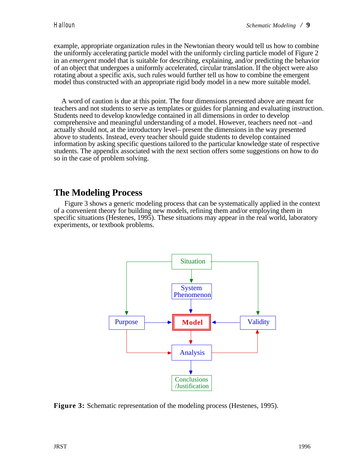example, appropriate organization rules in the Newtonian theory would tell us how to combine the uniformly accelerating particle model with the uniformly circling particle model of Figure 2 in an *emergent* model that is suitable for describing, explaining, and/or predicting the behavior of an object that undergoes a uniformly accelerated, circular translation. If the object were also rotating about a specific axis, such rules would further tell us how to combine the emergent model thus constructed with an appropriate rigid body model in a new more suitable model.

A word of caution is due at this point. The four dimensions presented above are meant for teachers and not students to serve as templates or guides for planning and evaluating instruction. Students need to develop knowledge contained in all dimensions in order to develop comprehensive and meaningful understanding of a model. However, teachers need not –and actually should not, at the introductory level– present the dimensions in the way presented above to students. Instead, every teacher should guide students to develop contained information by asking specific questions tailored to the particular knowledge state of respective students. The appendix associated with the next section offers some suggestions on how to do so in the case of problem solving.

# **The Modeling Process**

Figure 3 shows a generic modeling process that can be systematically applied in the context of a convenient theory for building new models, refining them and/or employing them in specific situations (Hestenes, 1995). These situations may appear in the real world, laboratory experiments, or textbook problems.



**Figure 3:** Schematic representation of the modeling process (Hestenes, 1995).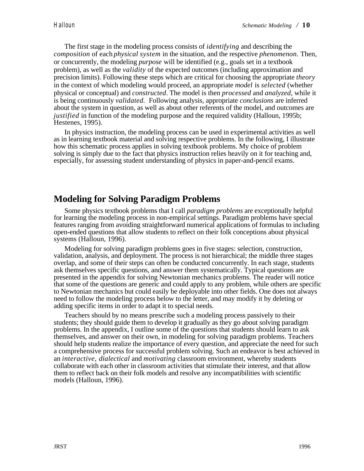The first stage in the modeling process consists of *identifying* and describing the *composition* of each *physical system* in the situation, and the respective *phenomenon.* Then, or concurrently, the modeling *purpose* will be identified (e.g., goals set in a textbook problem), as well as the *validity* of the expected outcomes (including approximation and precision limits). Following these steps which are critical for choosing the appropriate *theory* in the context of which modeling would proceed, an appropriate *model* is *selected* (whether physical or conceptual) and *constructed*. The model is then *processed* and *analyzed*, while it is being continuously *validated.* Following analysis, appropriate *conclusions* are inferred about the system in question, as well as about other referents of the model, and outcomes are *justified* in function of the modeling purpose and the required validity (Halloun, 1995b; Hestenes, 1995).

In physics instruction, the modeling process can be used in experimental activities as well as in learning textbook material and solving respective problems. In the following, I illustrate how this schematic process applies in solving textbook problems. My choice of problem solving is simply due to the fact that physics instruction relies heavily on it for teaching and, especially, for assessing student understanding of physics in paper-and-pencil exams.

## **Modeling for Solving Paradigm Problems**

Some physics textbook problems that I call *paradigm problems* are exceptionally helpful for learning the modeling process in non-empirical settings. Paradigm problems have special features ranging from avoiding straightforward numerical applications of formulas to including open-ended questions that allow students to reflect on their folk conceptions about physical systems (Halloun, 1996).

Modeling for solving paradigm problems goes in five stages: selection, construction, validation, analysis, and deployment. The process is not hierarchical; the middle three stages overlap, and some of their steps can often be conducted concurrently. In each stage, students ask themselves specific questions, and answer them systematically. Typical questions are presented in the appendix for solving Newtonian mechanics problems. The reader will notice that some of the questions are generic and could apply to any problem, while others are specific to Newtonian mechanics but could easily be deployable into other fields. One does not always need to follow the modeling process below to the letter, and may modify it by deleting or adding specific items in order to adapt it to special needs.

Teachers should by no means prescribe such a modeling process passively to their students; they should guide them to develop it gradually as they go about solving paradigm problems. In the appendix, I outline some of the questions that students should learn to ask themselves, and answer on their own, in modeling for solving paradigm problems. Teachers should help students realize the importance of every question, and appreciate the need for such a comprehensive process for successful problem solving. Such an endeavor is best achieved in an *interactive*, *dialectical* and *motivating* classroom environment, whereby students collaborate with each other in classroom activities that stimulate their interest, and that allow them to reflect back on their folk models and resolve any incompatibilities with scientific models (Halloun, 1996).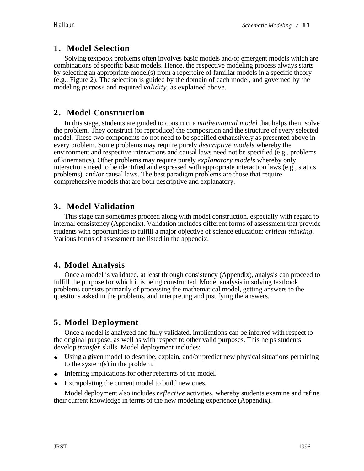## **1. Model Selection**

Solving textbook problems often involves basic models and/or emergent models which are combinations of specific basic models. Hence, the respective modeling process always starts by selecting an appropriate model(s) from a repertoire of familiar models in a specific theory (e.g., Figure 2). The selection is guided by the domain of each model, and governed by the modeling *purpose* and required *validity*, as explained above.

## **2. Model Construction**

In this stage, students are guided to construct a *mathematical model* that helps them solve the problem. They construct (or reproduce) the composition and the structure of every selected model. These two components do not need to be specified exhaustively as presented above in every problem. Some problems may require purely *descriptive models* whereby the environment and respective interactions and causal laws need not be specified (e.g., problems of kinematics). Other problems may require purely *explanatory models* whereby only interactions need to be identified and expressed with appropriate interaction laws (e.g., statics problems), and/or causal laws. The best paradigm problems are those that require comprehensive models that are both descriptive and explanatory.

## **3. Model Validation**

This stage can sometimes proceed along with model construction, especially with regard to internal consistency (Appendix). Validation includes different forms of assessment that provide students with opportunities to fulfill a major objective of science education: *critical thinking*. Various forms of assessment are listed in the appendix.

## **4. Model Analysis**

Once a model is validated, at least through consistency (Appendix), analysis can proceed to fulfill the purpose for which it is being constructed. Model analysis in solving textbook problems consists primarily of processing the mathematical model, getting answers to the questions asked in the problems, and interpreting and justifying the answers.

## **5. Model Deployment**

Once a model is analyzed and fully validated, implications can be inferred with respect to the original purpose, as well as with respect to other valid purposes. This helps students develop *transfer* skills. Model deployment includes:

- $\bullet$  Using a given model to describe, explain, and/or predict new physical situations pertaining to the system(s) in the problem.
- $\bullet$  Inferring implications for other referents of the model.
- Extrapolating the current model to build new ones.

Model deployment also includes *reflective* activities, whereby students examine and refine their current knowledge in terms of the new modeling experience (Appendix).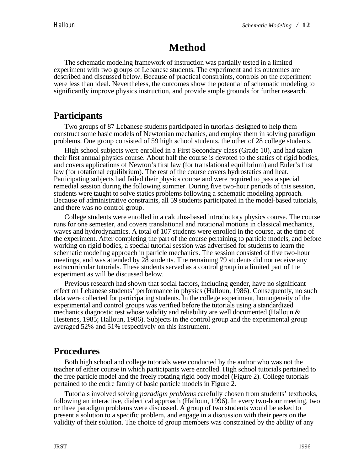# **Method**

The schematic modeling framework of instruction was partially tested in a limited experiment with two groups of Lebanese students. The experiment and its outcomes are described and discussed below. Because of practical constraints, controls on the experiment were less than ideal. Nevertheless, the outcomes show the potential of schematic modeling to significantly improve physics instruction, and provide ample grounds for further research.

# **Participants**

Two groups of 87 Lebanese students participated in tutorials designed to help them construct some basic models of Newtonian mechanics, and employ them in solving paradigm problems. One group consisted of 59 high school students, the other of 28 college students.

High school subjects were enrolled in a First Secondary class (Grade 10), and had taken their first annual physics course. About half the course is devoted to the statics of rigid bodies, and covers applications of Newton's first law (for translational equilibrium) and Euler's first law (for rotational equilibrium). The rest of the course covers hydrostatics and heat. Participating subjects had failed their physics course and were required to pass a special remedial session during the following summer. During five two-hour periods of this session, students were taught to solve statics problems following a schematic modeling approach. Because of administrative constraints, all 59 students participated in the model-based tutorials, and there was no control group.

College students were enrolled in a calculus-based introductory physics course. The course runs for one semester, and covers translational and rotational motions in classical mechanics, waves and hydrodynamics. A total of 107 students were enrolled in the course, at the time of the experiment. After completing the part of the course pertaining to particle models, and before working on rigid bodies, a special tutorial session was advertised for students to learn the schematic modeling approach in particle mechanics. The session consisted of five two-hour meetings, and was attended by 28 students. The remaining 79 students did not receive any extracurricular tutorials. These students served as a control group in a limited part of the experiment as will be discussed below.

Previous research had shown that social factors, including gender, have no significant effect on Lebanese students' performance in physics (Halloun, 1986). Consequently, no such data were collected for participating students. In the college experiment, homogeneity of the experimental and control groups was verified before the tutorials using a standardized mechanics diagnostic test whose validity and reliability are well documented (Halloun & Hestenes, 1985; Halloun, 1986). Subjects in the control group and the experimental group averaged 52% and 51% respectively on this instrument.

# **Procedures**

Both high school and college tutorials were conducted by the author who was not the teacher of either course in which participants were enrolled. High school tutorials pertained to the free particle model and the freely rotating rigid body model (Figure 2). College tutorials pertained to the entire family of basic particle models in Figure 2.

Tutorials involved solving *paradigm problems* carefully chosen from students' textbooks, following an interactive, dialectical approach (Halloun, 1996). In every two-hour meeting, two or three paradigm problems were discussed. A group of two students would be asked to present a solution to a specific problem, and engage in a discussion with their peers on the validity of their solution. The choice of group members was constrained by the ability of any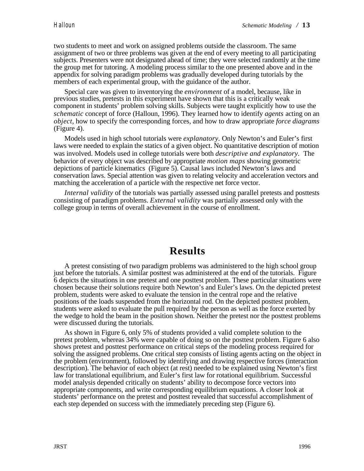two students to meet and work on assigned problems outside the classroom. The same assignment of two or three problems was given at the end of every meeting to all participating subjects. Presenters were not designated ahead of time; they were selected randomly at the time the group met for tutoring. A modeling process similar to the one presented above and in the appendix for solving paradigm problems was gradually developed during tutorials by the members of each experimental group, with the guidance of the author.

Special care was given to inventorying the *environment* of a model, because, like in previous studies, pretests in this experiment have shown that this is a critically weak component in students' problem solving skills. Subjects were taught explicitly how to use the *schematic* concept of force (Halloun, 1996). They learned how to identify *agents* acting on an *object*, how to specify the corresponding forces, and how to draw appropriate *force diagrams* (Figure 4).

Models used in high school tutorials were *explanatory.* Only Newton's and Euler's first laws were needed to explain the statics of a given object. No quantitative description of motion was involved. Models used in college tutorials were both *descriptive and explanatory.* The behavior of every object was described by appropriate *motion maps* showing geometric depictions of particle kinematics (Figure 5). Causal laws included Newton's laws and conservation laws. Special attention was given to relating velocity and acceleration vectors and matching the acceleration of a particle with the respective net force vector.

*Internal validity* of the tutorials was partially assessed using parallel pretests and posttests consisting of paradigm problems. *External validity* was partially assessed only with the college group in terms of overall achievement in the course of enrollment.

# **Results**

A pretest consisting of two paradigm problems was administered to the high school group just before the tutorials. A similar posttest was administered at the end of the tutorials. Figure 6 depicts the situations in one pretest and one posttest problem. These particular situations were chosen because their solutions require both Newton's and Euler's laws. On the depicted pretest problem, students were asked to evaluate the tension in the central rope and the relative positions of the loads suspended from the horizontal rod. On the depicted posttest problem, students were asked to evaluate the pull required by the person as well as the force exerted by the wedge to hold the beam in the position shown. Neither the pretest nor the posttest problems were discussed during the tutorials.

As shown in Figure 6, only 5% of students provided a valid complete solution to the pretest problem, whereas 34% were capable of doing so on the posttest problem. Figure 6 also shows pretest and posttest performance on critical steps of the modeling process required for solving the assigned problems. One critical step consists of listing agents acting on the object in the problem (environment), followed by identifying and drawing respective forces (interaction description). The behavior of each object (at rest) needed to be explained using Newton's first law for translational equilibrium, and Euler's first law for rotational equilibrium. Successful model analysis depended critically on students' ability to decompose force vectors into appropriate components, and write corresponding equilibrium equations. A closer look at students' performance on the pretest and posttest revealed that successful accomplishment of each step depended on success with the immediately preceding step (Figure 6).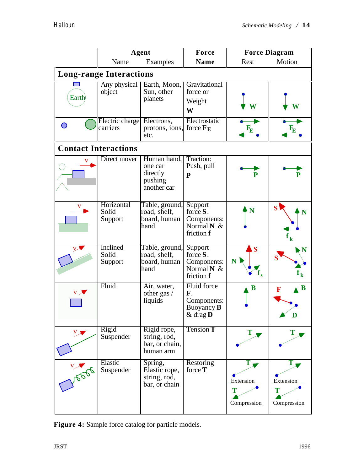|                                | Agent                               |                                                              | Force                                                                 | <b>Force Diagram</b>                         |                                                     |
|--------------------------------|-------------------------------------|--------------------------------------------------------------|-----------------------------------------------------------------------|----------------------------------------------|-----------------------------------------------------|
|                                | Name                                | Examples                                                     | <b>Name</b>                                                           | Rest                                         | Motion                                              |
| <b>Long-range Interactions</b> |                                     |                                                              |                                                                       |                                              |                                                     |
| <b>Earth</b>                   | Any physical<br>object              | Earth, Moon,<br>Sun, other<br>planets                        | Gravitational<br>force or<br>Weight<br>W                              | W                                            | W                                                   |
|                                | Electric charge<br>carriers         | Electrons,<br>protons, ions, force $\mathbf{F_E}$<br>etc.    | Electrostatic                                                         | $\mathbf{F_E}$                               | $\mathbf{F_E}$                                      |
| <b>Contact Interactions</b>    |                                     |                                                              |                                                                       |                                              |                                                     |
|                                | Direct mover                        | Human hand,<br>one car<br>directly<br>pushing<br>another car | Traction:<br>Push, pull<br>$\mathbf{P}$                               | ${\bf P}$                                    |                                                     |
| v                              | Horizontal<br>Solid<br>Support      | Table, ground,<br>road, shelf,<br>board, human<br>hand       | Support<br>force S.<br>Components:<br>Normal $N$ &<br>friction f      | N                                            | S<br>N<br>$\mathbf{f}_\mathbf{k}$                   |
| y                              | <b>Inclined</b><br>Solid<br>Support | Table, ground,<br>road, shelf,<br>board, human<br>hand       | Support<br>force S.<br>Components:<br>Normal $N$ &<br>friction f      | S<br>N                                       | N                                                   |
| $V \nearrow$                   | Fluid                               | Air, water,<br>other gas $/$<br>liquids                      | Fluid force<br>F.<br>Components:<br>Buoyancy $\bf{B}$<br>$&$ drag $D$ | B                                            | B<br>F<br>D                                         |
| $V_{\chi}$                     | Rigid<br>Suspender                  | Rigid rope,<br>string, rod,<br>bar, or chain,<br>human arm   | Tension T                                                             | T                                            | T                                                   |
| <b>VISOR</b>                   | Elastic<br>Suspender                | Spring,<br>Elastic rope,<br>string, rod,<br>bar, or chain    | <b>Restoring</b><br>force T                                           | $\mathbf T$<br>Extension<br>T<br>Compression | $\bar{\textbf{T}}$<br>Extension<br>T<br>Compression |

**Figure 4:** Sample force catalog for particle models.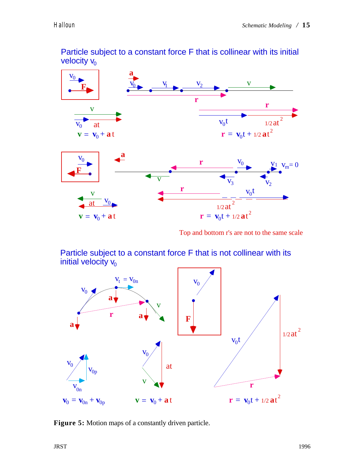## Particle subject to a constant force F that is collinear with its initial velocity  $v_0$



Top and bottom r's are not to the same scale

initial velocity  $v_0$ Particle subject to a constant force F that is not collinear with its



**Figure 5:** Motion maps of a constantly driven particle.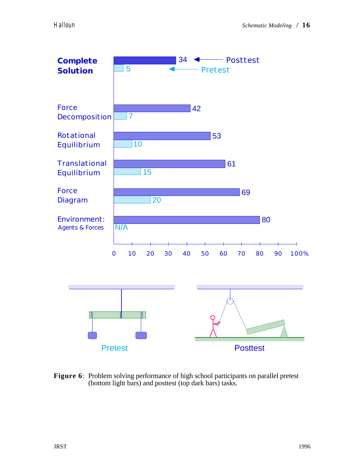

**Figure 6**: Problem solving performance of high school participants on parallel pretest (bottom light bars) and posttest (top dark bars) tasks.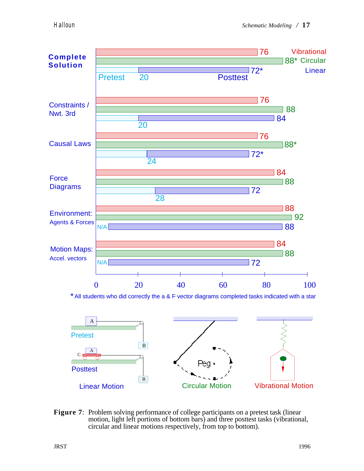



**Figure 7:** Problem solving performance of college participants on a pretest task (linear motion, light left portions of bottom bars) and three posttest tasks (vibrational, circular and linear motions respectively, from top to bottom).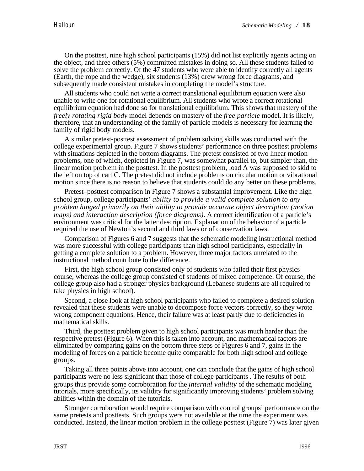On the posttest, nine high school participants (15%) did not list explicitly agents acting on the object, and three others (5%) committed mistakes in doing so. All these students failed to solve the problem correctly. Of the 47 students who were able to identify correctly all agents (Earth, the rope and the wedge), six students (13%) drew wrong force diagrams, and subsequently made consistent mistakes in completing the model's structure.

All students who could not write a correct translational equilibrium equation were also unable to write one for rotational equilibrium. All students who wrote a correct rotational equilibrium equation had done so for translational equilibrium. This shows that mastery of the *freely rotating rigid body* model depends on mastery of the *free particle* model. It is likely, therefore, that an understanding of the family of particle models is necessary for learning the family of rigid body models.

A similar pretest-posttest assessment of problem solving skills was conducted with the college experimental group. Figure 7 shows students' performance on three posttest problems with situations depicted in the bottom diagrams. The pretest consisted of two linear motion problems, one of which, depicted in Figure 7, was somewhat parallel to, but simpler than, the linear motion problem in the posttest. In the posttest problem, load A was supposed to skid to the left on top of cart C. The pretest did not include problems on circular motion or vibrational motion since there is no reason to believe that students could do any better on these problems.

Pretest–posttest comparison in Figure 7 shows a substantial improvement. Like the high school group, college participants' *ability to provide a valid complete solution to any problem hinged primarily on their ability to provide accurate object description (motion maps) and interaction description (force diagrams)*. A correct identification of a particle's environment was critical for the latter description. Explanation of the behavior of a particle required the use of Newton's second and third laws or of conservation laws.

Comparison of Figures 6 and 7 suggests that the schematic modeling instructional method was more successful with college participants than high school participants, especially in getting a complete solution to a problem. However, three major factors unrelated to the instructional method contribute to the difference.

First, the high school group consisted only of students who failed their first physics course, whereas the college group consisted of students of mixed competence. Of course, the college group also had a stronger physics background (Lebanese students are all required to take physics in high school).

Second, a close look at high school participants who failed to complete a desired solution revealed that these students were unable to decompose force vectors correctly, so they wrote wrong component equations. Hence, their failure was at least partly due to deficiencies in mathematical skills.

Third, the posttest problem given to high school participants was much harder than the respective pretest (Figure 6). When this is taken into account, and mathematical factors are eliminated by comparing gains on the bottom three steps of Figures 6 and 7, gains in the modeling of forces on a particle become quite comparable for both high school and college groups.

Taking all three points above into account, one can conclude that the gains of high school participants were no less significant than those of college participants . The results of both groups thus provide some corroboration for the *internal validity* of the schematic modeling tutorials, more specifically, its validity for significantly improving students' problem solving abilities within the domain of the tutorials.

Stronger corroboration would require comparison with control groups' performance on the same pretests and posttests. Such groups were not available at the time the experiment was conducted. Instead, the linear motion problem in the college posttest (Figure 7) was later given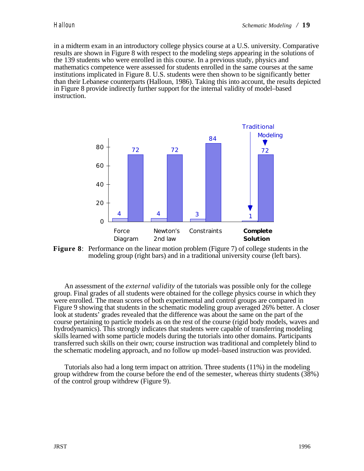in a midterm exam in an introductory college physics course at a U.S. university. Comparative results are shown in Figure 8 with respect to the modeling steps appearing in the solutions of the 139 students who were enrolled in this course. In a previous study, physics and mathematics competence were assessed for students enrolled in the same courses at the same institutions implicated in Figure 8. U.S. students were then shown to be significantly better than their Lebanese counterparts (Halloun, 1986). Taking this into account, the results depicted in Figure 8 provide indirectly further support for the internal validity of model–based instruction.



**Figure 8**: Performance on the linear motion problem (Figure 7) of college students in the modeling group (right bars) and in a traditional university course (left bars).

An assessment of the *external validity* of the tutorials was possible only for the college group. Final grades of all students were obtained for the college physics course in which they were enrolled. The mean scores of both experimental and control groups are compared in Figure 9 showing that students in the schematic modeling group averaged 26% better. A closer look at students' grades revealed that the difference was about the same on the part of the course pertaining to particle models as on the rest of the course (rigid body models, waves and hydrodynamics). This strongly indicates that students were capable of transferring modeling skills learned with some particle models during the tutorials into other domains. Participants transferred such skills on their own; course instruction was traditional and completely blind to the schematic modeling approach, and no follow up model–based instruction was provided.

Tutorials also had a long term impact on attrition. Three students (11%) in the modeling group withdrew from the course before the end of the semester, whereas thirty students (38%) of the control group withdrew (Figure 9).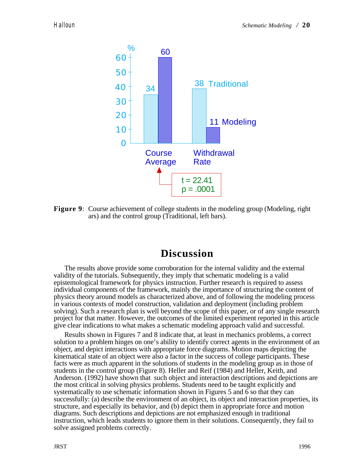

**Figure 9**: Course achievement of college students in the modeling group (Modeling, right ars) and the control group (Traditional, left bars).

# **Discussion**

The results above provide some corroboration for the internal validity and the external validity of the tutorials. Subsequently, they imply that schematic modeling is a valid epistemological framework for physics instruction. Further research is required to assess individual components of the framework, mainly the importance of structuring the content of physics theory around models as characterized above, and of following the modeling process in various contexts of model construction, validation and deployment (including problem solving). Such a research plan is well beyond the scope of this paper, or of any single research project for that matter. However, the outcomes of the limited experiment reported in this article give clear indications to what makes a schematic modeling approach valid and successful.

Results shown in Figures 7 and 8 indicate that, at least in mechanics problems, a correct solution to a problem hinges on one's ability to identify correct agents in the environment of an object, and depict interactions with appropriate force diagrams. Motion maps depicting the kinematical state of an object were also a factor in the success of college participants. These facts were as much apparent in the solutions of students in the modeling group as in those of students in the control group (Figure 8). Heller and Reif (1984) and Heller, Keith, and Anderson. (1992) have shown that such object and interaction descriptions and depictions are the most critical in solving physics problems. Students need to be taught explicitly and systematically to use schematic information shown in Figures 5 and 6 so that they can successfully: (a) describe the environment of an object, its object and interaction properties, its structure, and especially its behavior, and (b) depict them in appropriate force and motion diagrams. Such descriptions and depictions are not emphasized enough in traditional instruction, which leads students to ignore them in their solutions. Consequently, they fail to solve assigned problems correctly.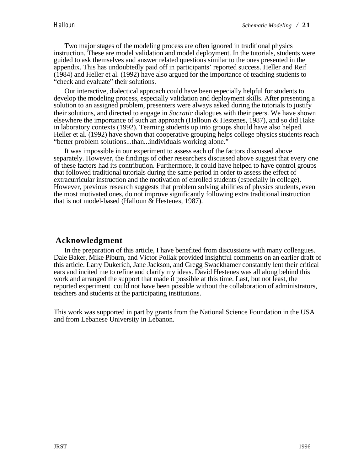Two major stages of the modeling process are often ignored in traditional physics instruction. These are model validation and model deployment. In the tutorials, students were guided to ask themselves and answer related questions similar to the ones presented in the appendix. This has undoubtedly paid off in participants' reported success. Heller and Reif (1984) and Heller et al. (1992) have also argued for the importance of teaching students to "check and evaluate" their solutions.

Our interactive, dialectical approach could have been especially helpful for students to develop the modeling process, especially validation and deployment skills. After presenting a solution to an assigned problem, presenters were always asked during the tutorials to justify their solutions, and directed to engage in *Socratic* dialogues with their peers. We have shown elsewhere the importance of such an approach (Halloun & Hestenes, 1987), and so did Hake in laboratory contexts (1992). Teaming students up into groups should have also helped. Heller et al. (1992) have shown that cooperative grouping helps college physics students reach "better problem solutions...than...individuals working alone."

It was impossible in our experiment to assess each of the factors discussed above separately. However, the findings of other researchers discussed above suggest that every one of these factors had its contribution. Furthermore, it could have helped to have control groups that followed traditional tutorials during the same period in order to assess the effect of extracurricular instruction and the motivation of enrolled students (especially in college). However, previous research suggests that problem solving abilities of physics students, even the most motivated ones, do not improve significantly following extra traditional instruction that is not model-based (Halloun & Hestenes, 1987).

#### **Acknowledgment**

In the preparation of this article, I have benefited from discussions with many colleagues. Dale Baker, Mike Piburn, and Victor Pollak provided insightful comments on an earlier draft of this article. Larry Dukerich, Jane Jackson, and Gregg Swackhamer constantly lent their critical ears and incited me to refine and clarify my ideas. David Hestenes was all along behind this work and arranged the support that made it possible at this time. Last, but not least, the reported experiment could not have been possible without the collaboration of administrators, teachers and students at the participating institutions.

This work was supported in part by grants from the National Science Foundation in the USA and from Lebanese University in Lebanon.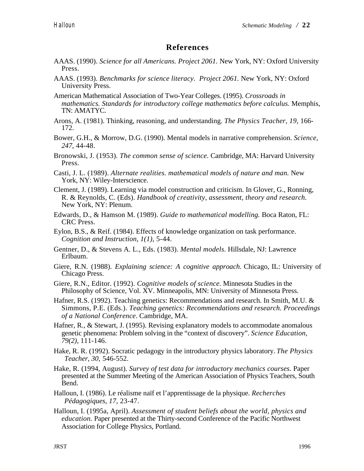#### **References**

- AAAS. (1990). *Science for all Americans. Project 2061.* New York, NY: Oxford University Press.
- AAAS. (1993). *Benchmarks for science literacy. Project 2061.* New York, NY: Oxford University Press.
- American Mathematical Association of Two-Year Colleges. (1995). *Crossroads in mathematics. Standards for introductory college mathematics before calculus.* Memphis, TN: AMATYC.
- Arons, A. (1981). Thinking, reasoning, and understanding. *The Physics Teacher, 19,* 166- 172.
- Bower, G.H., & Morrow, D.G. (1990). Mental models in narrative comprehension. *Science, 247*, 44-48.
- Bronowski, J. (1953). *The common sense of science.* Cambridge, MA: Harvard University Press.
- Casti, J. L. (1989). *Alternate realities. mathematical models of nature and man.* New York, NY: Wiley-Interscience.
- Clement, J. (1989). Learning via model construction and criticism. In Glover, G., Ronning, R. & Reynolds, C. (Eds). *Handbook of creativity, assessment, theory and research.* New York, NY: Plenum.
- Edwards, D., & Hamson M. (1989). *Guide to mathematical modelling.* Boca Raton, FL: CRC Press.
- Eylon, B.S., & Reif. (1984). Effects of knowledge organization on task performance. *Cognition and Instruction, 1(1)*, 5-44.
- Gentner, D., & Stevens A. L., Eds. (1983). *Mental models.* Hillsdale, NJ: Lawrence Erlbaum.
- Giere, R.N. (1988). *Explaining science: A cognitive approach.* Chicago, IL: University of Chicago Press.
- Giere, R.N., Editor. (1992). *Cognitive models of science.* Minnesota Studies in the Philosophy of Science, Vol. XV. Minneapolis, MN: University of Minnesota Press.
- Hafner, R.S. (1992). Teaching genetics: Recommendations and research. In Smith, M.U. & Simmons, P.E. (Eds.). *Teaching genetics: Recommendations and research. Proceedings of a National Conference*. Cambridge, MA.
- Hafner, R., & Stewart, J. (1995). Revising explanatory models to accommodate anomalous genetic phenomena: Problem solving in the "context of discovery". *Science Education, 79(2),* 111-146.
- Hake, R. R. (1992). Socratic pedagogy in the introductory physics laboratory. *The Physics Teacher, 30,* 546-552.
- Hake, R. (1994, August). *Survey of test data for introductory mechanics courses.* Paper presented at the Summer Meeting of the American Association of Physics Teachers, South Bend.
- Halloun, I. (1986). Le réalisme naïf et l'apprentissage de la physique. *Recherches Pédagogiques, 17*, 23-47.
- Halloun, I. (1995a, April). *Assessment of student beliefs about the world, physics and education.* Paper presented at the Thirty-second Conference of the Pacific Northwest Association for College Physics, Portland*.*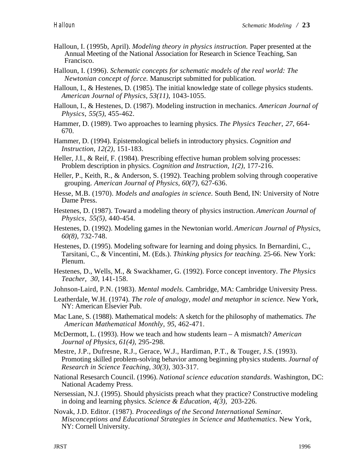- Halloun, I. (1995b, April). *Modeling theory in physics instruction.* Paper presented at the Annual Meeting of the National Association for Research in Science Teaching, San Francisco.
- Halloun, I. (1996). *Schematic concepts for schematic models of the real world: The Newtonian concept of force.* Manuscript submitted for publication.
- Halloun, I., & Hestenes, D. (1985). The initial knowledge state of college physics students. *American Journal of Physics, 53(11)*, 1043-1055.
- Halloun, I., & Hestenes, D. (1987). Modeling instruction in mechanics. *American Journal of Physics*, *55(5)*, 455-462.
- Hammer, D. (1989). Two approaches to learning physics. *The Physics Teacher*, *27*, 664- 670.
- Hammer, D. (1994). Epistemological beliefs in introductory physics. *Cognition and Instruction, 12(2)*, 151-183.
- Heller, J.I., & Reif, F. (1984). Prescribing effective human problem solving processes: Problem description in physics. *Cognition and Instruction, 1(2)*, 177-216.
- Heller, P., Keith, R., & Anderson, S. (1992). Teaching problem solving through cooperative grouping. *American Journal of Physics, 60(7),* 627-636.
- Hesse, M.B. (1970). *Models and analogies in science.* South Bend, IN: University of Notre Dame Press.
- Hestenes, D. (1987). Toward a modeling theory of physics instruction. *American Journal of Physics*, *55(5)*, 440-454.
- Hestenes, D. (1992). Modeling games in the Newtonian world. *American Journal of Physics*, *60(8)*, 732-748.
- Hestenes, D. (1995). Modeling software for learning and doing physics*.* In Bernardini, C., Tarsitani, C., & Vincentini, M. (Eds.). *Thinking physics for teaching.* 25-66. New York: Plenum.
- Hestenes, D., Wells, M., & Swackhamer, G. (1992). Force concept inventory. *The Physics Teacher, 30*, 141-158.
- Johnson-Laird, P.N. (1983). *Mental models.* Cambridge, MA: Cambridge University Press.
- Leatherdale, W.H. (1974). *The role of analogy, model and metaphor in science.* New York, NY: American Elsevier Pub.
- Mac Lane, S. (1988). Mathematical models: A sketch for the philosophy of mathematics. *The American Mathematical Monthly*, *95*, 462-471.
- McDermott, L. (1993). How we teach and how students learn A mismatch? *American Journal of Physics, 61(4)*, 295-298.
- Mestre, J.P., Dufresne, R.J., Gerace, W.J., Hardiman, P.T., & Touger, J.S. (1993). Promoting skilled problem-solving behavior among beginning physics students. *Journal of Research in Science Teaching, 30(3)*, 303-317.
- National Resesarch Council. (1996). *National science education standards*. Washington, DC: National Academy Press.
- Nersessian, N.J. (1995). Should physicists preach what they practice? Constructive modeling in doing and learning physics. *Science & Education, 4(3),* 203-226.
- Novak, J.D. Editor. (1987). *Proceedings of the Second International Seminar. Misconceptions and Educational Strategies in Science and Mathematics*. New York, NY: Cornell University.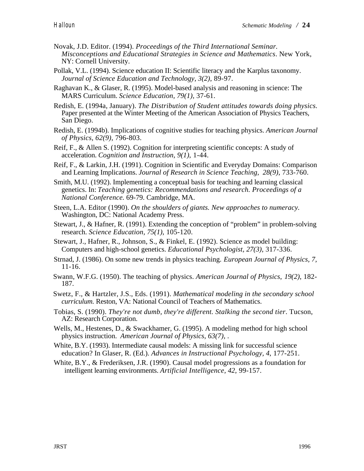- Novak, J.D. Editor. (1994). *Proceedings of the Third International Seminar. Misconceptions and Educational Strategies in Science and Mathematics*. New York, NY: Cornell University.
- Pollak, V.L. (1994). Science education II: Scientific literacy and the Karplus taxonomy. *Journal of Science Education and Technology, 3(2)*, 89-97.
- Raghavan K., & Glaser, R. (1995). Model-based analysis and reasoning in science: The MARS Curriculum. *Science Education, 79(1),* 37-61.
- Redish, E. (1994a, January). *The Distribution of Student attitudes towards doing physics.* Paper presented at the Winter Meeting of the American Association of Physics Teachers, San Diego.
- Redish, E. (1994b). Implications of cognitive studies for teaching physics. *American Journal of Physics, 62(9)*, 796-803.
- Reif, F., & Allen S. (1992). Cognition for interpreting scientific concepts: A study of acceleration. *Cognition and Instruction, 9(1)*, 1-44.
- Reif, F., & Larkin, J.H. (1991). Cognition in Scientific and Everyday Domains: Comparison and Learning Implications. *Journal of Research in Science Teaching, 28(9)*, 733-760.
- Smith, M.U. (1992). Implementing a conceptual basis for teaching and learning classical genetics. In: *Teaching genetics: Recommendations and research. Proceedings of a National Conference.* 69-79. Cambridge, MA.
- Steen, L.A. Editor (1990). *On the shoulders of giants. New approaches to numeracy.* Washington, DC: National Academy Press.
- Stewart, J., & Hafner, R. (1991). Extending the conception of "problem" in problem-solving research. *Science Education, 75(1)*, 105-120.
- Stewart, J., Hafner, R., Johnson, S., & Finkel, E. (1992). Science as model building: Computers and high-school genetics. *Educational Psychologist, 27(3)*, 317-336.
- Strnad, J. (1986). On some new trends in physics teaching. *European Journal of Physics, 7,* 11-16.
- Swann, W.F.G. (1950). The teaching of physics. *American Journal of Physics*, *19(2)*, 182- 187.
- Swetz, F., & Hartzler, J.S., Eds. (1991). *Mathematical modeling in the secondary school curriculum.* Reston, VA: National Council of Teachers of Mathematics.
- Tobias, S. (1990). *They're not dumb, they're different. Stalking the second tier*. Tucson, AZ: Research Corporation.
- Wells, M., Hestenes, D., & Swackhamer, G. (1995). A modeling method for high school physics instruction. *American Journal of Physics, 63(7),* .
- White, B.Y. (1993). Intermediate causal models: A missing link for successful science education? In Glaser, R. (Ed.). *Advances in Instructional Psychology, 4*, 177-251.
- White, B.Y., & Frederiksen, J.R. (1990). Causal model progressions as a foundation for intelligent learning environments. *Artificial Intelligence, 42*, 99-157.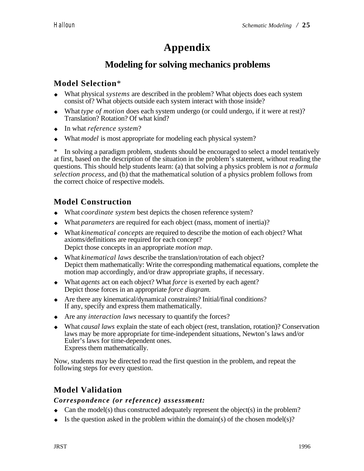# **Appendix**

# **Modeling for solving mechanics problems**

## **Model Selection**\*

- What physical *systems* are described in the problem? What objects does each system consist of? What objects outside each system interact with those inside?
- What *type of motion* does each system undergo (or could undergo, if it were at rest)? Translation? Rotation? Of what kind?
- In what *reference system*?
- What *model* is most appropriate for modeling each physical system?  $\bullet$

\* In solving a paradigm problem, students should be encouraged to select a model tentatively at first, based on the description of the situation in the problem's statement, without reading the questions. This should help students learn: (a) that solving a physics problem is *not a formula selection process*, and (b) that the mathematical solution of a physics problem follows from the correct choice of respective models.

## **Model Construction**

- What *coordinate system* best depicts the chosen reference system?
- What *parameters* are required for each object (mass, moment of inertia)?
- What *kinematical concepts* are required to describe the motion of each object? What axioms/definitions are required for each concept? Depict those concepts in an appropriate *motion map*.
- What *kinematical laws* describe the translation/rotation of each object? Depict them mathematically: Write the corresponding mathematical equations, complete the motion map accordingly, and/or draw appropriate graphs, if necessary.
- What *agents* act on each object? What *force* is exerted by each agent? Depict those forces in an appropriate *force diagram*.
- Are there any kinematical/dynamical constraints? Initial/final conditions? If any, specify and express them mathematically.
- Are any *interaction laws* necessary to quantify the forces?
- What *causal laws* explain the state of each object (rest, translation, rotation)? Conservation laws may be more appropriate for time-independent situations, Newton's laws and/or Euler's laws for time-dependent ones. Express them mathematically.

Now, students may be directed to read the first question in the problem, and repeat the following steps for every question.

## **Model Validation**

#### *Correspondence (or reference) assessment:*

- $\bullet$  Can the model(s) thus constructed adequately represent the object(s) in the problem?
- $\bullet$  Is the question asked in the problem within the domain(s) of the chosen model(s)?